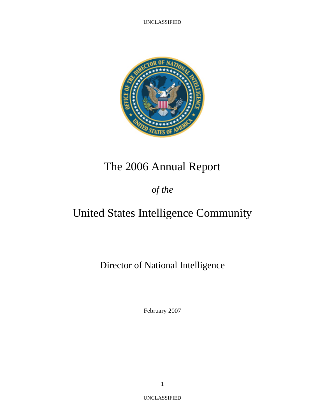

# The 2006 Annual Report

*of the* 

# United States Intelligence Community

Director of National Intelligence

February 2007

UNCLASSIFIED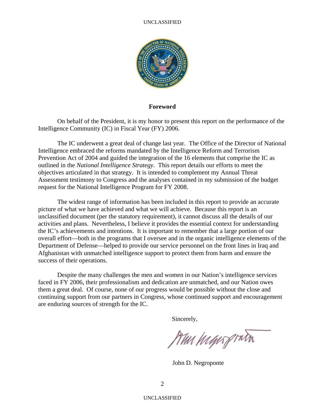

### **Foreword**

On behalf of the President, it is my honor to present this report on the performance of the Intelligence Community (IC) in Fiscal Year (FY) 2006.

The IC underwent a great deal of change last year. The Office of the Director of National Intelligence embraced the reforms mandated by the Intelligence Reform and Terrorism Prevention Act of 2004 and guided the integration of the 16 elements that comprise the IC as outlined in the *National Intelligence Strategy*. This report details our efforts to meet the objectives articulated in that strategy. It is intended to complement my Annual Threat Assessment testimony to Congress and the analyses contained in my submission of the budget request for the National Intelligence Program for FY 2008.

The widest range of information has been included in this report to provide an accurate picture of what we have achieved and what we will achieve. Because this report is an unclassified document (per the statutory requirement), it cannot discuss all the details of our activities and plans. Nevertheless, I believe it provides the essential context for understanding the IC's achievements and intentions. It is important to remember that a large portion of our overall effort—both in the programs that I oversee and in the organic intelligence elements of the Department of Defense—helped to provide our service personnel on the front lines in Iraq and Afghanistan with unmatched intelligence support to protect them from harm and ensure the success of their operations.

Despite the many challenges the men and women in our Nation's intelligence services faced in FY 2006, their professionalism and dedication are unmatched, and our Nation owes them a great deal. Of course, none of our progress would be possible without the close and continuing support from our partners in Congress, whose continued support and encouragement are enduring sources of strength for the IC.

Sincerely,

Am highport

John D. Negroponte

UNCLASSIFIED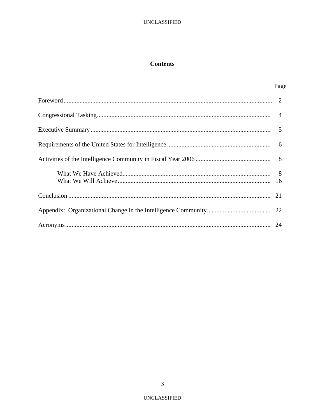# **Contents**

| Page |
|------|
|      |
|      |
|      |
|      |
|      |
|      |
|      |
|      |
|      |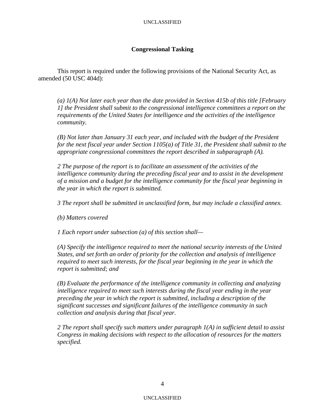## **Congressional Tasking**

This report is required under the following provisions of the National Security Act, as amended (50 USC 404d):

*(a) 1(A) Not later each year than the date provided in Section 415b of this title [February 1] the President shall submit to the congressional intelligence committees a report on the requirements of the United States for intelligence and the activities of the intelligence community.* 

*(B) Not later than January 31 each year, and included with the budget of the President for the next fiscal year under Section 1105(a) of Title 31, the President shall submit to the appropriate congressional committees the report described in subparagraph (A).* 

*2 The purpose of the report is to facilitate an assessment of the activities of the intelligence community during the preceding fiscal year and to assist in the development of a mission and a budget for the intelligence community for the fiscal year beginning in the year in which the report is submitted.* 

*3 The report shall be submitted in unclassified form, but may include a classified annex.* 

*(b) Matters covered* 

*1 Each report under subsection (a) of this section shall—* 

*(A) Specify the intelligence required to meet the national security interests of the United States, and set forth an order of priority for the collection and analysis of intelligence required to meet such interests, for the fiscal year beginning in the year in which the report is submitted; and* 

*(B) Evaluate the performance of the intelligence community in collecting and analyzing intelligence required to meet such interests during the fiscal year ending in the year preceding the year in which the report is submitted, including a description of the significant successes and significant failures of the intelligence community in such collection and analysis during that fiscal year.* 

*2 The report shall specify such matters under paragraph 1(A) in sufficient detail to assist Congress in making decisions with respect to the allocation of resources for the matters specified.*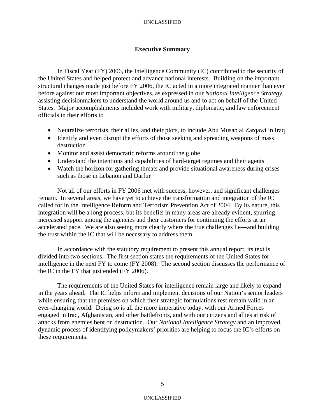# **Executive Summary**

 In Fiscal Year (FY) 2006, the Intelligence Community (IC) contributed to the security of the United States and helped protect and advance national interests. Building on the important structural changes made just before FY 2006, the IC acted in a more integrated manner than ever before against our most important objectives, as expressed in our *National Intelligence Strategy*, assisting decisionmakers to understand the world around us and to act on behalf of the United States. Major accomplishments included work with military, diplomatic, and law enforcement officials in their efforts to

- Neutralize terrorists, their allies, and their plots, to include Abu Musab al Zarqawi in Iraq
- Identify and even disrupt the efforts of those seeking and spreading weapons of mass destruction
- Monitor and assist democratic reforms around the globe
- Understand the intentions and capabilities of hard-target regimes and their agents
- Watch the horizon for gathering threats and provide situational awareness during crises such as those in Lebanon and Darfur

 Not all of our efforts in FY 2006 met with success, however, and significant challenges remain. In several areas, we have yet to achieve the transformation and integration of the IC called for in the Intelligence Reform and Terrorism Prevention Act of 2004. By its nature, this integration will be a long process, but its benefits in many areas are already evident, spurring increased support among the agencies and their customers for continuing the efforts at an accelerated pace. We are also seeing more clearly where the true challenges lie—and building the trust within the IC that will be necessary to address them.

 In accordance with the statutory requirement to present this annual report, its text is divided into two sections. The first section states the requirements of the United States for intelligence in the next FY to come (FY 2008). The second section discusses the performance of the IC in the FY that just ended (FY 2006).

 The requirements of the United States for intelligence remain large and likely to expand in the years ahead. The IC helps inform and implement decisions of our Nation's senior leaders while ensuring that the premises on which their strategic formulations rest remain valid in an ever-changing world. Doing so is all the more imperative today, with our Armed Forces engaged in Iraq, Afghanistan, and other battlefronts, and with our citizens and allies at risk of attacks from enemies bent on destruction. Our *National Intelligence Strategy* and an improved, dynamic process of identifying policymakers' priorities are helping to focus the IC's efforts on these requirements.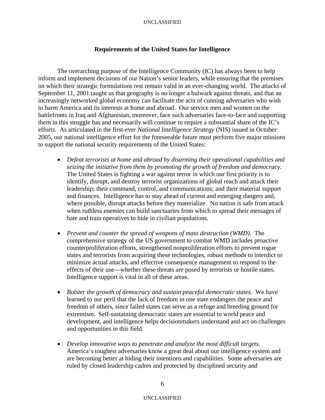## **Requirements of the United States for Intelligence**

 The overarching purpose of the Intelligence Community (IC) has always been to help inform and implement decisions of our Nation's senior leaders, while ensuring that the premises on which their strategic formulations rest remain valid in an ever-changing world. The attacks of September 11, 2001 taught us that geography is no longer a bulwark against threats, and that an increasingly networked global economy can facilitate the acts of cunning adversaries who wish to harm America and its interests at home and abroad. Our service men and women on the battlefronts in Iraq and Afghanistan, moreover, face such adversaries face-to-face and supporting them in this struggle has and necessarily will continue to require a substantial share of the IC's efforts. As articulated in the first-ever *National Intelligence Strategy* (NIS) issued in October 2005, our national intelligence effort for the foreseeable future must perform five major missions to support the national security requirements of the United States:

- *Defeat terrorists at home and abroad by disarming their operational capabilities and seizing the initiative from them by promoting the growth of freedom and democracy.*  The United States is fighting a war against terror in which our first priority is to identify, disrupt, and destroy terrorist organizations of global reach and attack their leadership; their command, control, and communications; and their material support and finances. Intelligence has to stay ahead of current and emerging dangers and, where possible, disrupt attacks before they materialize. No nation is safe from attack when ruthless enemies can build sanctuaries from which to spread their messages of hate and train operatives to hide in civilian populations.
- *Prevent and counter the spread of weapons of mass destruction (WMD).* The comprehensive strategy of the US government to combat WMD includes proactive counterproliferation efforts, strengthened nonproliferation efforts to prevent rogue states and terrorists from acquiring these technologies, robust methods to interdict or minimize actual attacks, and effective consequence management to respond to the effects of their use—whether these threats are posed by terrorists or hostile states. Intelligence support is vital in all of these areas.
- *Bolster the growth of democracy and sustain peaceful democratic states.* We have learned to our peril that the lack of freedom in one state endangers the peace and freedom of others, since failed states can serve as a refuge and breeding ground for extremism. Self-sustaining democratic states are essential to world peace and development, and intelligence helps decisionmakers understand and act on challenges and opportunities in this field.
- *Develop innovative ways to penetrate and analyze the most difficult targets.* America's toughest adversaries know a great deal about our intelligence system and are becoming better at hiding their intentions and capabilities. Some adversaries are ruled by closed leadership cadres and protected by disciplined security and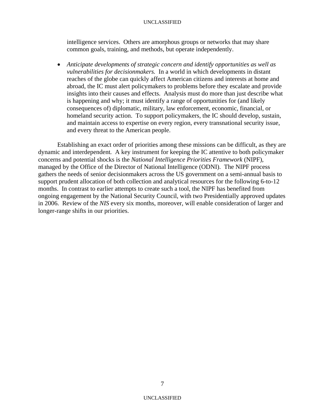intelligence services. Others are amorphous groups or networks that may share common goals, training, and methods, but operate independently.

• *Anticipate developments of strategic concern and identify opportunities as well as vulnerabilities for decisionmakers.* In a world in which developments in distant reaches of the globe can quickly affect American citizens and interests at home and abroad, the IC must alert policymakers to problems before they escalate and provide insights into their causes and effects. Analysis must do more than just describe what is happening and why; it must identify a range of opportunities for (and likely consequences of) diplomatic, military, law enforcement, economic, financial, or homeland security action. To support policymakers, the IC should develop, sustain, and maintain access to expertise on every region, every transnational security issue, and every threat to the American people.

Establishing an exact order of priorities among these missions can be difficult, as they are dynamic and interdependent*.* A key instrument for keeping the IC attentive to both policymaker concerns and potential shocks is the *National Intelligence Priorities Framework* (NIPF), managed by the Office of the Director of National Intelligence (ODNI). The NIPF process gathers the needs of senior decisionmakers across the US government on a semi-annual basis to support prudent allocation of both collection and analytical resources for the following 6-to-12 months. In contrast to earlier attempts to create such a tool, the NIPF has benefited from ongoing engagement by the National Security Council, with two Presidentially approved updates in 2006. Review of the *NIS* every six months, moreover, will enable consideration of larger and longer-range shifts in our priorities.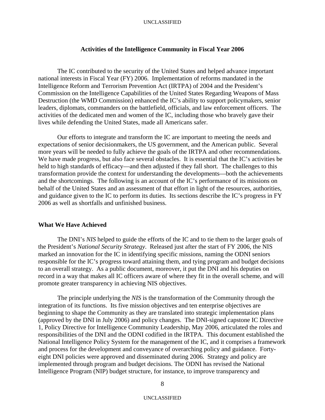## **Activities of the Intelligence Community in Fiscal Year 2006**

The IC contributed to the security of the United States and helped advance important national interests in Fiscal Year (FY) 2006. Implementation of reforms mandated in the Intelligence Reform and Terrorism Prevention Act (IRTPA) of 2004 and the President's Commission on the Intelligence Capabilities of the United States Regarding Weapons of Mass Destruction (the WMD Commission) enhanced the IC's ability to support policymakers, senior leaders, diplomats, commanders on the battlefield, officials, and law enforcement officers. The activities of the dedicated men and women of the IC, including those who bravely gave their lives while defending the United States, made all Americans safer.

Our efforts to integrate and transform the IC are important to meeting the needs and expectations of senior decisionmakers, the US government, and the American public. Several more years will be needed to fully achieve the goals of the IRTPA and other recommendations. We have made progress, but also face several obstacles. It is essential that the IC's activities be held to high standards of efficacy—and then adjusted if they fall short. The challenges to this transformation provide the context for understanding the developments—both the achievements and the shortcomings. The following is an account of the IC's performance of its missions on behalf of the United States and an assessment of that effort in light of the resources, authorities, and guidance given to the IC to perform its duties. Its sections describe the IC's progress in FY 2006 as well as shortfalls and unfinished business.

## **What We Have Achieved**

The DNI's *NIS* helped to guide the efforts of the IC and to tie them to the larger goals of the President's *National Security Strategy*. Released just after the start of FY 2006, the NIS marked an innovation for the IC in identifying specific missions, naming the ODNI seniors responsible for the IC's progress toward attaining them, and tying program and budget decisions to an overall strategy. As a public document, moreover, it put the DNI and his deputies on record in a way that makes all IC officers aware of where they fit in the overall scheme, and will promote greater transparency in achieving NIS objectives.

The principle underlying the *NIS* is the transformation of the Community through the integration of its functions. Its five mission objectives and ten enterprise objectives are beginning to shape the Community as they are translated into strategic implementation plans (approved by the DNI in July 2006) and policy changes. The DNI-signed capstone IC Directive 1, Policy Directive for Intelligence Community Leadership, May 2006, articulated the roles and responsibilities of the DNI and the ODNI codified in the IRTPA. This document established the National Intelligence Policy System for the management of the IC, and it comprises a framework and process for the development and conveyance of overarching policy and guidance. Fortyeight DNI policies were approved and disseminated during 2006. Strategy and policy are implemented through program and budget decisions. The ODNI has revised the National Intelligence Program (NIP) budget structure, for instance, to improve transparency and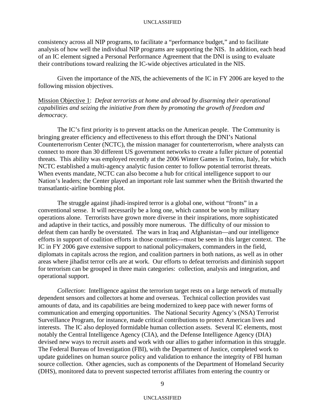consistency across all NIP programs, to facilitate a "performance budget," and to facilitate analysis of how well the individual NIP programs are supporting the NIS. In addition, each head of an IC element signed a Personal Performance Agreement that the DNI is using to evaluate their contributions toward realizing the IC-wide objectives articulated in the NIS.

 Given the importance of the *NIS*, the achievements of the IC in FY 2006 are keyed to the following mission objectives.

Mission Objective 1: *Defeat terrorists at home and abroad by disarming their operational capabilities and seizing the initiative from them by promoting the growth of freedom and democracy.*

The IC's first priority is to prevent attacks on the American people. The Community is bringing greater efficiency and effectiveness to this effort through the DNI's National Counterterrorism Center (NCTC), the mission manager for counterterrorism, where analysts can connect to more than 30 different US government networks to create a fuller picture of potential threats. This ability was employed recently at the 2006 Winter Games in Torino, Italy, for which NCTC established a multi-agency analytic fusion center to follow potential terrorist threats. When events mandate, NCTC can also become a hub for critical intelligence support to our Nation's leaders; the Center played an important role last summer when the British thwarted the transatlantic-airline bombing plot.

 The struggle against jihadi-inspired terror is a global one, without "fronts" in a conventional sense. It will necessarily be a long one, which cannot be won by military operations alone. Terrorists have grown more diverse in their inspirations, more sophisticated and adaptive in their tactics, and possibly more numerous. The difficulty of our mission to defeat them can hardly be overstated. The wars in Iraq and Afghanistan—and our intelligence efforts in support of coalition efforts in those countries—must be seen in this larger context. The IC in FY 2006 gave extensive support to national policymakers, commanders in the field, diplomats in capitals across the region, and coalition partners in both nations, as well as in other areas where jihadist terror cells are at work. Our efforts to defeat terrorists and diminish support for terrorism can be grouped in three main categories: collection, analysis and integration, and operational support.

*Collection*: Intelligence against the terrorism target rests on a large network of mutually dependent sensors and collectors at home and overseas. Technical collection provides vast amounts of data, and its capabilities are being modernized to keep pace with newer forms of communication and emerging opportunities. The National Security Agency's (NSA) Terrorist Surveillance Program, for instance, made critical contributions to protect American lives and interests. The IC also deployed formidable human collection assets. Several IC elements, most notably the Central Intelligence Agency (CIA), and the Defense Intelligence Agency (DIA) devised new ways to recruit assets and work with our allies to gather information in this struggle. The Federal Bureau of Investigation (FBI), with the Department of Justice, completed work to update guidelines on human source policy and validation to enhance the integrity of FBI human source collection. Other agencies, such as components of the Department of Homeland Security (DHS), monitored data to prevent suspected terrorist affiliates from entering the country or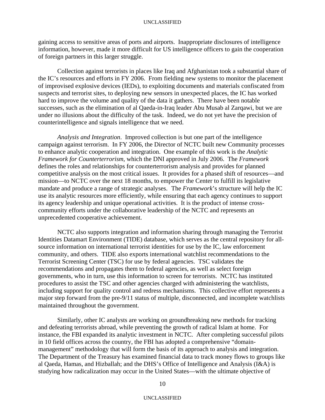gaining access to sensitive areas of ports and airports. Inappropriate disclosures of intelligence information, however, made it more difficult for US intelligence officers to gain the cooperation of foreign partners in this larger struggle.

 Collection against terrorists in places like Iraq and Afghanistan took a substantial share of the IC's resources and efforts in FY 2006. From fielding new systems to monitor the placement of improvised explosive devices (IEDs), to exploiting documents and materials confiscated from suspects and terrorist sites, to deploying new sensors in unexpected places, the IC has worked hard to improve the volume and quality of the data it gathers. There have been notable successes, such as the elimination of al Qaeda-in-Iraq leader Abu Musab al Zarqawi, but we are under no illusions about the difficulty of the task. Indeed, we do not yet have the precision of counterintelligence and signals intelligence that we need.

*Analysis and Integration*. Improved collection is but one part of the intelligence campaign against terrorism. In FY 2006, the Director of NCTC built new Community processes to enhance analytic cooperation and integration. One example of this work is the *Analytic Framework for Counterterrorism*, which the DNI approved in July 2006. The *Framework* defines the roles and relationships for counterterrorism analysis and provides for planned competitive analysis on the most critical issues. It provides for a phased shift of resources—and mission—to NCTC over the next 18 months, to empower the Center to fulfill its legislative mandate and produce a range of strategic analyses. The *Framework*'s structure will help the IC use its analytic resources more efficiently, while ensuring that each agency continues to support its agency leadership and unique operational activities. It is the product of intense crosscommunity efforts under the collaborative leadership of the NCTC and represents an unprecedented cooperative achievement.

 NCTC also supports integration and information sharing through managing the Terrorist Identities Datamart Environment (TIDE) database, which serves as the central repository for allsource information on international terrorist identities for use by the IC, law enforcement community, and others. TIDE also exports international watchlist recommendations to the Terrorist Screening Center (TSC) for use by federal agencies. TSC validates the recommendations and propagates them to federal agencies, as well as select foreign governments, who in turn, use this information to screen for terrorists. NCTC has instituted procedures to assist the TSC and other agencies charged with administering the watchlists, including support for quality control and redress mechanisms. This collective effort represents a major step forward from the pre-9/11 status of multiple, disconnected, and incomplete watchlists maintained throughout the government.

Similarly, other IC analysts are working on groundbreaking new methods for tracking and defeating terrorists abroad, while preventing the growth of radical Islam at home. For instance, the FBI expanded its analytic investment in NCTC. After completing successful pilots in 10 field offices across the country, the FBI has adopted a comprehensive "domainmanagement" methodology that will form the basis of its approach to analysis and integration. The Department of the Treasury has examined financial data to track money flows to groups like al Qaeda, Hamas, and Hizballah; and the DHS's Office of Intelligence and Analysis (I&A) is studying how radicalization may occur in the United States—with the ultimate objective of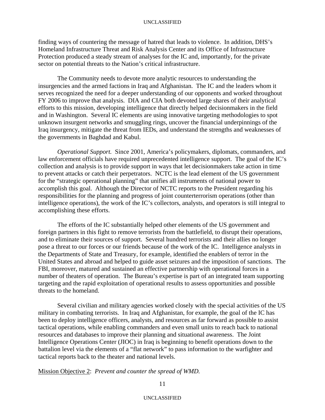finding ways of countering the message of hatred that leads to violence. In addition, DHS's Homeland Infrastructure Threat and Risk Analysis Center and its Office of Infrastructure Protection produced a steady stream of analyses for the IC and, importantly, for the private sector on potential threats to the Nation's critical infrastructure.

The Community needs to devote more analytic resources to understanding the insurgencies and the armed factions in Iraq and Afghanistan. The IC and the leaders whom it serves recognized the need for a deeper understanding of our opponents and worked throughout FY 2006 to improve that analysis. DIA and CIA both devoted large shares of their analytical efforts to this mission, developing intelligence that directly helped decisionmakers in the field and in Washington. Several IC elements are using innovative targeting methodologies to spot unknown insurgent networks and smuggling rings, uncover the financial underpinnings of the Iraq insurgency, mitigate the threat from IEDs, and understand the strengths and weaknesses of the governments in Baghdad and Kabul.

*Operational Support.* Since 2001, America's policymakers, diplomats, commanders, and law enforcement officials have required unprecedented intelligence support. The goal of the IC's collection and analysis is to provide support in ways that let decisionmakers take action in time to prevent attacks or catch their perpetrators. NCTC is the lead element of the US government for the "strategic operational planning" that unifies all instruments of national power to accomplish this goal. Although the Director of NCTC reports to the President regarding his responsibilities for the planning and progress of joint counterterrorism operations (other than intelligence operations), the work of the IC's collectors, analysts, and operators is still integral to accomplishing these efforts.

 The efforts of the IC substantially helped other elements of the US government and foreign partners in this fight to remove terrorists from the battlefield, to disrupt their operations, and to eliminate their sources of support. Several hundred terrorists and their allies no longer pose a threat to our forces or our friends because of the work of the IC. Intelligence analysts in the Departments of State and Treasury, for example, identified the enablers of terror in the United States and abroad and helped to guide asset seizures and the imposition of sanctions. The FBI, moreover, matured and sustained an effective partnership with operational forces in a number of theaters of operation. The Bureau's expertise is part of an integrated team supporting targeting and the rapid exploitation of operational results to assess opportunities and possible threats to the homeland.

Several civilian and military agencies worked closely with the special activities of the US military in combating terrorists. In Iraq and Afghanistan, for example, the goal of the IC has been to deploy intelligence officers, analysts, and resources as far forward as possible to assist tactical operations, while enabling commanders and even small units to reach back to national resources and databases to improve their planning and situational awareness. The Joint Intelligence Operations Center (JIOC) in Iraq is beginning to benefit operations down to the battalion level via the elements of a "flat network" to pass information to the warfighter and tactical reports back to the theater and national levels.

## Mission Objective 2: *Prevent and counter the spread of WMD.*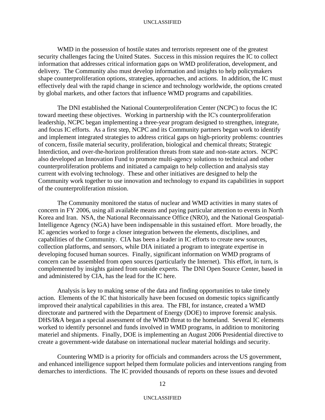WMD in the possession of hostile states and terrorists represent one of the greatest security challenges facing the United States. Success in this mission requires the IC to collect information that addresses critical information gaps on WMD proliferation, development, and delivery. The Community also must develop information and insights to help policymakers shape counterproliferation options, strategies, approaches, and actions. In addition, the IC must effectively deal with the rapid change in science and technology worldwide, the options created by global markets, and other factors that influence WMD programs and capabilities.

The DNI established the National Counterproliferation Center (NCPC) to focus the IC toward meeting these objectives. Working in partnership with the IC's counterproliferation leadership, NCPC began implementing a three-year program designed to strengthen, integrate, and focus IC efforts. As a first step, NCPC and its Community partners began work to identify and implement integrated strategies to address critical gaps on high-priority problems: countries of concern, fissile material security, proliferation, biological and chemical threats; Strategic Interdiction, and over-the-horizon proliferation threats from state and non-state actors. NCPC also developed an Innovation Fund to promote multi-agency solutions to technical and other counterproliferation problems and initiated a campaign to help collection and analysis stay current with evolving technology. These and other initiatives are designed to help the Community work together to use innovation and technology to expand its capabilities in support of the counterproliferation mission.

The Community monitored the status of nuclear and WMD activities in many states of concern in FY 2006, using all available means and paying particular attention to events in North Korea and Iran. NSA, the National Reconnaissance Office (NRO), and the National Geospatial-Intelligence Agency (NGA) have been indispensable in this sustained effort. More broadly, the IC agencies worked to forge a closer integration between the elements, disciplines, and capabilities of the Community. CIA has been a leader in IC efforts to create new sources, collection platforms, and sensors, while DIA initiated a program to integrate expertise in developing focused human sources. Finally, significant information on WMD programs of concern can be assembled from open sources (particularly the Internet). This effort, in turn, is complemented by insights gained from outside experts. The DNI Open Source Center, based in and administered by CIA, has the lead for the IC here.

 Analysis is key to making sense of the data and finding opportunities to take timely action. Elements of the IC that historically have been focused on domestic topics significantly improved their analytical capabilities in this area. The FBI, for instance, created a WMD directorate and partnered with the Department of Energy (DOE) to improve forensic analysis. DHS/I&A began a special assessment of the WMD threat to the homeland. Several IC elements worked to identify personnel and funds involved in WMD programs, in addition to monitoring materiel and shipments. Finally, DOE is implementing an August 2006 Presidential directive to create a government-wide database on international nuclear material holdings and security.

 Countering WMD is a priority for officials and commanders across the US government, and enhanced intelligence support helped them formulate policies and interventions ranging from demarches to interdictions. The IC provided thousands of reports on these issues and devoted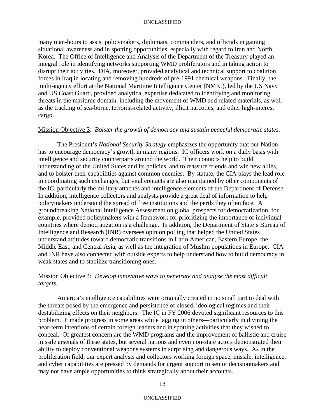many man-hours to assist policymakers, diplomats, commanders, and officials in gaining situational awareness and in spotting opportunities, especially with regard to Iran and North Korea. The Office of Intelligence and Analysis of the Department of the Treasury played an integral role in identifying networks supporting WMD proliferators and in taking action to disrupt their activities. DIA, moreover, provided analytical and technical support to coalition forces in Iraq in locating and removing hundreds of pre-1991 chemical weapons. Finally, the multi-agency effort at the National Maritime Intelligence Center (NMIC), led by the US Navy and US Coast Guard, provided analytical expertise dedicated to identifying and monitoring threats in the maritime domain, including the movement of WMD and related materials, as well as the tracking of sea-borne, terrorist-related activity, illicit narcotics, and other high-interest cargo.

## Mission Objective 3: *Bolster the growth of democracy and sustain peaceful democratic states.*

 The President's *National Security Strategy* emphasizes the opportunity that our Nation has to encourage democracy's growth in many regions. IC officers work on a daily basis with intelligence and security counterparts around the world. Their contacts help to build understanding of the United States and its policies, and to reassure friends and win new allies, and to bolster their capabilities against common enemies. By statute, the CIA plays the lead role in coordinating such exchanges, but vital contacts are also maintained by other components of the IC, particularly the military attachés and intelligence elements of the Department of Defense. In addition, intelligence collectors and analysts provide a great deal of information to help policymakers understand the spread of free institutions and the perils they often face. A groundbreaking National Intelligence Assessment on global prospects for democratization, for example, provided policymakers with a framework for prioritizing the importance of individual countries where democratization is a challenge. In addition, the Department of State's Bureau of Intelligence and Research (INR) oversees opinion polling that helped the United States understand attitudes toward democratic transitions in Latin American, Eastern Europe, the Middle East, and Central Asia, as well as the integration of Muslim populations in Europe. CIA and INR have also connected with outside experts to help understand how to build democracy in weak states and to stabilize transitioning ones.

## Mission Objective 4: *Develop innovative ways to penetrate and analyze the most difficult targets.*

 America's intelligence capabilities were originally created in no small part to deal with the threats posed by the emergence and persistence of closed, ideological regimes and their destabilizing effects on their neighbors. The IC in FY 2006 devoted significant resources to this problem. It made progress in some areas while lagging in others—particularly in divining the near-term intentions of certain foreign leaders and in spotting activities that they wished to conceal. Of greatest concern are the WMD programs and the improvement of ballistic and cruise missile arsenals of these states, but several nations and even non-state actors demonstrated their ability to deploy conventional weapons systems in surprising and dangerous ways. As in the proliferation field, our expert analysts and collectors working foreign space, missile, intelligence, and cyber capabilities are pressed by demands for urgent support to senior decisionmakers and may not have ample opportunities to think strategically about their accounts.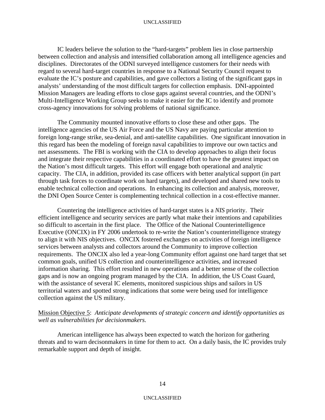IC leaders believe the solution to the "hard-targets" problem lies in close partnership between collection and analysis and intensified collaboration among all intelligence agencies and disciplines. Directorates of the ODNI surveyed intelligence customers for their needs with regard to several hard-target countries in response to a National Security Council request to evaluate the IC's posture and capabilities, and gave collectors a listing of the significant gaps in analysts' understanding of the most difficult targets for collection emphasis. DNI-appointed Mission Managers are leading efforts to close gaps against several countries, and the ODNI's Multi-Intelligence Working Group seeks to make it easier for the IC to identify and promote cross-agency innovations for solving problems of national significance.

 The Community mounted innovative efforts to close these and other gaps. The intelligence agencies of the US Air Force and the US Navy are paying particular attention to foreign long-range strike, sea-denial, and anti-satellite capabilities. One significant innovation in this regard has been the modeling of foreign naval capabilities to improve our own tactics and net assessments. The FBI is working with the CIA to develop approaches to align their focus and integrate their respective capabilities in a coordinated effort to have the greatest impact on the Nation's most difficult targets. This effort will engage both operational and analytic capacity. The CIA, in addition, provided its case officers with better analytical support (in part through task forces to coordinate work on hard targets), and developed and shared new tools to enable technical collection and operations. In enhancing its collection and analysis, moreover, the DNI Open Source Center is complementing technical collection in a cost-effective manner.

 Countering the intelligence activities of hard-target states is a *NIS* priority. Their efficient intelligence and security services are partly what make their intentions and capabilities so difficult to ascertain in the first place. The Office of the National Counterintelligence Executive (ONCIX) in FY 2006 undertook to re-write the Nation's counterintelligence strategy to align it with NIS objectives. ONCIX fostered exchanges on activities of foreign intelligence services between analysts and collectors around the Community to improve collection requirements. The ONCIX also led a year-long Community effort against one hard target that set common goals, unified US collection and counterintelligence activities, and increased information sharing. This effort resulted in new operations and a better sense of the collection gaps and is now an ongoing program managed by the CIA. In addition, the US Coast Guard, with the assistance of several IC elements, monitored suspicious ships and sailors in US territorial waters and spotted strong indications that some were being used for intelligence collection against the US military.

## Mission Objective 5: *Anticipate developments of strategic concern and identify opportunities as well as vulnerabilities for decisionmakers.*

American intelligence has always been expected to watch the horizon for gathering threats and to warn decisonmakers in time for them to act. On a daily basis, the IC provides truly remarkable support and depth of insight.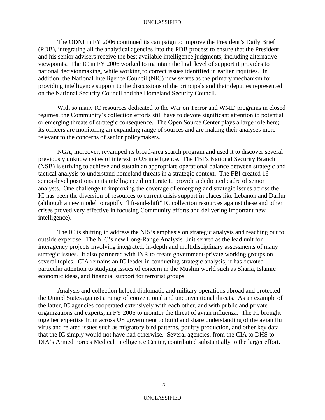The ODNI in FY 2006 continued its campaign to improve the President's Daily Brief (PDB), integrating all the analytical agencies into the PDB process to ensure that the President and his senior advisers receive the best available intelligence judgments, including alternative viewpoints. The IC in FY 2006 worked to maintain the high level of support it provides to national decisionmaking, while working to correct issues identified in earlier inquiries. In addition, the National Intelligence Council (NIC) now serves as the primary mechanism for providing intelligence support to the discussions of the principals and their deputies represented on the National Security Council and the Homeland Security Council.

 With so many IC resources dedicated to the War on Terror and WMD programs in closed regimes, the Community's collection efforts still have to devote significant attention to potential or emerging threats of strategic consequence. The Open Source Center plays a large role here; its officers are monitoring an expanding range of sources and are making their analyses more relevant to the concerns of senior policymakers.

NGA, moreover, revamped its broad-area search program and used it to discover several previously unknown sites of interest to US intelligence. The FBI's National Security Branch (NSB) is striving to achieve and sustain an appropriate operational balance between strategic and tactical analysis to understand homeland threats in a strategic context. The FBI created 16 senior-level positions in its intelligence directorate to provide a dedicated cadre of senior analysts. One challenge to improving the coverage of emerging and strategic issues across the IC has been the diversion of resources to current crisis support in places like Lebanon and Darfur (although a new model to rapidly "lift-and-shift" IC collection resources against these and other crises proved very effective in focusing Community efforts and delivering important new intelligence).

The IC is shifting to address the NIS's emphasis on strategic analysis and reaching out to outside expertise. The NIC's new Long-Range Analysis Unit served as the lead unit for interagency projects involving integrated, in-depth and multidisciplinary assessments of many strategic issues. It also partnered with INR to create government-private working groups on several topics. CIA remains an IC leader in conducting strategic analysis; it has devoted particular attention to studying issues of concern in the Muslim world such as Sharia, Islamic economic ideas, and financial support for terrorist groups.

Analysis and collection helped diplomatic and military operations abroad and protected the United States against a range of conventional and unconventional threats. As an example of the latter, IC agencies cooperated extensively with each other, and with public and private organizations and experts, in FY 2006 to monitor the threat of avian influenza. The IC brought together expertise from across US government to build and share understanding of the avian flu virus and related issues such as migratory bird patterns, poultry production, and other key data that the IC simply would not have had otherwise. Several agencies, from the CIA to DHS to DIA's Armed Forces Medical Intelligence Center, contributed substantially to the larger effort.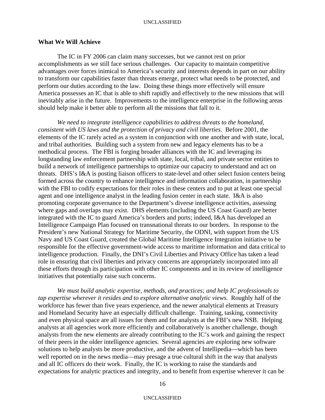## **What We Will Achieve**

The IC in FY 2006 can claim many successes, but we cannot rest on prior accomplishments as we still face serious challenges. Our capacity to maintain competitive advantages over forces inimical to America's security and interests depends in part on our ability to transform our capabilities faster than threats emerge, protect what needs to be protected, and perform our duties according to the law. Doing these things more effectively will ensure America possesses an IC that is able to shift rapidly and effectively to the new missions that will inevitably arise in the future. Improvements to the intelligence enterprise in the following areas should help make it better able to perform all the missions that fall to it.

*We need to integrate intelligence capabilities to address threats to the homeland, consistent with US laws and the protection of privacy and civil liberties*. Before 2001, the elements of the IC rarely acted as a system in conjunction with one another and with state, local, and tribal authorities. Building such a system from new and legacy elements has to be a methodical process. The FBI is forging broader alliances with the IC and leveraging its longstanding law enforcement partnership with state, local, tribal, and private sector entities to build a network of intelligence partnerships to optimize our capacity to understand and act on threats. DHS's I&A is posting liaison officers to state-level and other select fusion centers being formed across the country to enhance intelligence and information collaboration, in partnership with the FBI to codify expectations for their roles in these centers and to put at least one special agent and one intelligence analyst in the leading fusion center in each state. I&A is also promoting corporate governance to the Department's diverse intelligence activities, assessing where gaps and overlaps may exist. DHS elements (including the US Coast Guard) are better integrated with the IC to guard America's borders and ports; indeed, I&A has developed an Intelligence Campaign Plan focused on transnational threats to our borders. In response to the President's new National Strategy for Maritime Security, the ODNI, with support from the US Navy and US Coast Guard, created the Global Maritime Intelligence Integration initiative to be responsible for the effective government-wide access to maritime information and data critical to intelligence production. Finally, the DNI's Civil Liberties and Privacy Office has taken a lead role in ensuring that civil liberties and privacy concerns are appropriately incorporated into all these efforts through its participation with other IC components and in its review of intelligence initiatives that potentially raise such concerns.

*We must build analytic expertise, methods, and practices; and help IC professionals to tap expertise wherever it resides and to explore alternative analytic views.* Roughly half of the workforce has fewer than five years experience, and the newer analytical elements at Treasury and Homeland Security have an especially difficult challenge. Training, tasking, connectivity and even physical space are all issues for them and for analysts at the FBI's new NSB. Helping analysts at all agencies work more efficiently and collaboratively is another challenge, though analysts from the new elements are already contributing to the IC's work and gaining the respect of their peers in the older intelligence agencies. Several agencies are exploring new software solutions to help analysts be more productive, and the advent of Intellipedia—which has been well reported on in the news media—may presage a true cultural shift in the way that analysts and all IC officers do their work. Finally, the IC is working to raise the standards and expectations for analytic practices and integrity, and to benefit from expertise wherever it can be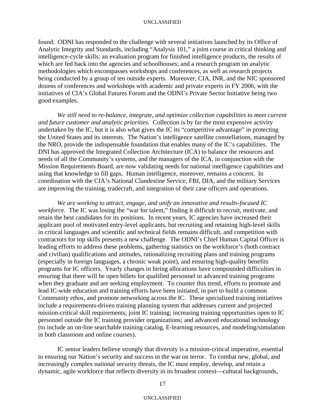found. ODNI has responded to the challenge with several initiatives launched by its Office of Analytic Integrity and Standards, including "Analysis 101," a joint course in critical thinking and intelligence-cycle skills; an evaluation program for finished intelligence products, the results of which are fed back into the agencies and schoolhouses; and a research program on analytic methodologies which encompasses workshops and conferences, as well as research projects being conducted by a group of ten outside experts. Moreover, CIA, INR, and the NIC sponsored dozens of conferences and workshops with academic and private experts in FY 2006, with the initiatives of CIA's Global Futures Forum and the ODNI's Private Sector Initiative being two good examples.

*We still need to re-balance, integrate, and optimize collection capabilities to meet current and future customer and analytic priorities.* Collection is by far the most expensive activity undertaken by the IC, but it is also what gives the IC its "competitive advantage" in protecting the United States and its interests. The Nation's intelligence satellite constellations, managed by the NRO, provide the indispensable foundation that enables many of the IC's capabilities. The DNI has approved the Integrated Collection Architecture (ICA) to balance the resources and needs of all the Community's systems, and the managers of the ICA, in conjunction with the Mission Requirements Board, are now validating needs for national intelligence capabilities and using that knowledge to fill gaps. Human intelligence, moreover, remains a concern. In coordination with the CIA's National Clandestine Service, FBI, DIA, and the military Services are improving the training, tradecraft, and integration of their case officers and operations.

*We are working to attract, engage, and unify an innovative and results-focused IC workforce*. The IC was losing the "war for talent," finding it difficult to recruit, motivate, and retain the best candidates for its positions. In recent years, IC agencies have increased their applicant pool of motivated entry-level applicants, but recruiting and retaining high-level skills in critical languages and scientific and technical fields remains difficult, and competition with contractors for top skills presents a new challenge. The ODNI's Chief Human Capital Officer is leading efforts to address these problems, gathering statistics on the workforce's (both contract and civilian) qualifications and attitudes, rationalizing recruiting plans and training programs (especially in foreign languages, a chronic weak point), and ensuring high-quality benefits programs for IC officers. Yearly changes in hiring allocations have compounded difficulties in ensuring that there will be open billets for qualified personnel in advanced training programs when they graduate and are seeking employment. To counter this trend, efforts to promote and lead IC-wide education and training efforts have been initiated, in part to build a common Community *ethos*, and promote networking across the IC. These specialized training initiatives include a requirements-driven training planning system that addresses current and projected mission-critical skill requirements; joint IC training; increasing training opportunities open to IC personnel outside the IC training provider organizations; and advanced educational technology (to include an on-line searchable training catalog, E-learning resources, and modeling/simulation in both classroom and online courses).

IC senior leaders believe strongly that diversity is a mission-critical imperative, essential to ensuring our Nation's security and success in the war on terror. To combat new, global, and increasingly complex national security threats, the IC must employ, develop, and retain a dynamic, agile workforce that reflects diversity in its broadest context—cultural backgrounds,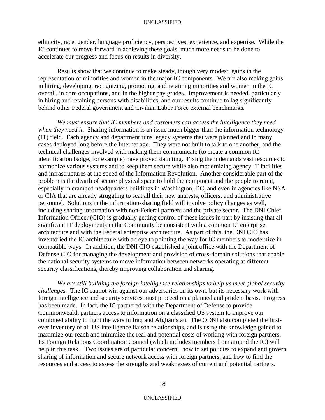ethnicity, race, gender, language proficiency, perspectives, experience, and expertise. While the IC continues to move forward in achieving these goals, much more needs to be done to accelerate our progress and focus on results in diversity.

Results show that we continue to make steady, though very modest, gains in the representation of minorities and women in the major IC components. We are also making gains in hiring, developing, recognizing, promoting, and retaining minorities and women in the IC overall, in core occupations, and in the higher pay grades. Improvement is needed, particularly in hiring and retaining persons with disabilities, and our results continue to lag significantly behind other Federal government and Civilian Labor Force external benchmarks.

*We must ensure that IC members and customers can access the intelligence they need when they need it.* Sharing information is an issue much bigger than the information technology (IT) field. Each agency and department runs legacy systems that were planned and in many cases deployed long before the Internet age. They were not built to talk to one another, and the technical challenges involved with making them communicate (to create a common IC identification badge, for example) have proved daunting. Fixing them demands vast resources to harmonize various systems and to keep them secure while also modernizing agency IT facilities and infrastructures at the speed of the Information Revolution. Another considerable part of the problem is the dearth of secure physical space to hold the equipment and the people to run it, especially in cramped headquarters buildings in Washington, DC, and even in agencies like NSA or CIA that are already struggling to seat all their new analysts, officers, and administrative personnel. Solutions in the information-sharing field will involve policy changes as well, including sharing information with non-Federal partners and the private sector. The DNI Chief Information Officer (CIO) is gradually getting control of these issues in part by insisting that all significant IT deployments in the Community be consistent with a common IC enterprise architecture and with the Federal enterprise architecture. As part of this, the DNI CIO has inventoried the IC architecture with an eye to pointing the way for IC members to modernize in compatible ways. In addition, the DNI CIO established a joint office with the Department of Defense CIO for managing the development and provision of cross-domain solutions that enable the national security systems to move information between networks operating at different security classifications, thereby improving collaboration and sharing.

*We are still building the foreign intelligence relationships to help us meet global security challenges.* The IC cannot win against our adversaries on its own, but its necessary work with foreign intelligence and security services must proceed on a planned and prudent basis. Progress has been made. In fact, the IC partnered with the Department of Defense to provide Commonwealth partners access to information on a classified US system to improve our combined ability to fight the wars in Iraq and Afghanistan. The ODNI also completed the firstever inventory of all US intelligence liaison relationships, and is using the knowledge gained to maximize our reach and minimize the real and potential costs of working with foreign partners. Its Foreign Relations Coordination Council (which includes members from around the IC) will help in this task. Two issues are of particular concern: how to set policies to expand and govern sharing of information and secure network access with foreign partners, and how to find the resources and access to assess the strengths and weaknesses of current and potential partners.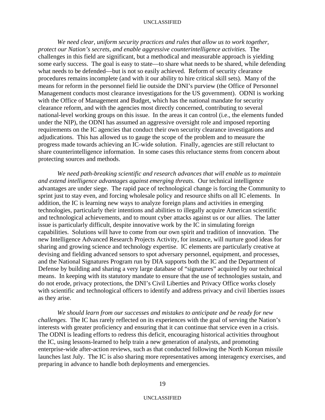We need clear, uniform security practices and rules that allow us to work together, *protect our Nation's secrets, and enable aggressive counterintelligence activities.* The challenges in this field are significant, but a methodical and measurable approach is yielding some early success. The goal is easy to state—to share what needs to be shared, while defending what needs to be defended—but is not so easily achieved. Reform of security clearance procedures remains incomplete (and with it our ability to hire critical skill sets). Many of the means for reform in the personnel field lie outside the DNI's purview (the Office of Personnel Management conducts most clearance investigations for the US government). ODNI is working with the Office of Management and Budget, which has the national mandate for security clearance reform, and with the agencies most directly concerned, contributing to several national-level working groups on this issue. In the areas it can control (i.e., the elements funded under the NIP), the ODNI has assumed an aggressive oversight role and imposed reporting requirements on the IC agencies that conduct their own security clearance investigations and adjudications. This has allowed us to gauge the scope of the problem and to measure the progress made towards achieving an IC-wide solution. Finally, agencies are still reluctant to share counterintelligence information. In some cases this reluctance stems from concern about protecting sources and methods.

*We need path-breaking scientific and research advances that will enable us to maintain and extend intelligence advantages against emerging threats*. Our technical intelligence advantages are under siege. The rapid pace of technological change is forcing the Community to sprint just to stay even, and forcing wholesale policy and resource shifts on all IC elements. In addition, the IC is learning new ways to analyze foreign plans and activities in emerging technologies, particularly their intentions and abilities to illegally acquire American scientific and technological achievements, and to mount cyber attacks against us or our allies. The latter issue is particularly difficult, despite innovative work by the IC in simulating foreign capabilities. Solutions will have to come from our own spirit and tradition of innovation. The new Intelligence Advanced Research Projects Activity, for instance, will nurture good ideas for sharing and growing science and technology expertise. IC elements are particularly creative at devising and fielding advanced sensors to spot adversary personnel, equipment, and processes, and the National Signatures Program run by DIA supports both the IC and the Department of Defense by building and sharing a very large database of "signatures" acquired by our technical means. In keeping with its statutory mandate to ensure that the use of technologies sustain, and do not erode, privacy protections, the DNI's Civil Liberties and Privacy Office works closely with scientific and technological officers to identify and address privacy and civil liberties issues as they arise.

*We should learn from our successes and mistakes to anticipate and be ready for new challenges.* The IC has rarely reflected on its experiences with the goal of serving the Nation's interests with greater proficiency and ensuring that it can continue that service even in a crisis. The ODNI is leading efforts to redress this deficit, encouraging historical activities throughout the IC, using lessons-learned to help train a new generation of analysts, and promoting enterprise-wide after-action reviews, such as that conducted following the North Korean missile launches last July. The IC is also sharing more representatives among interagency exercises, and preparing in advance to handle both deployments and emergencies.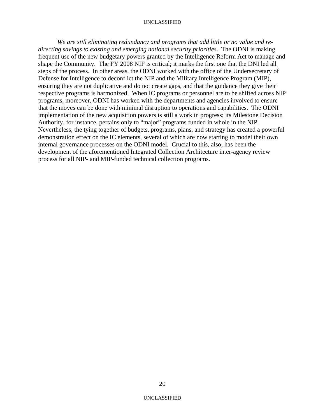*We are still eliminating redundancy and programs that add little or no value and redirecting savings to existing and emerging national security priorities*. The ODNI is making frequent use of the new budgetary powers granted by the Intelligence Reform Act to manage and shape the Community. The FY 2008 NIP is critical; it marks the first one that the DNI led all steps of the process. In other areas, the ODNI worked with the office of the Undersecretary of Defense for Intelligence to deconflict the NIP and the Military Intelligence Program (MIP), ensuring they are not duplicative and do not create gaps, and that the guidance they give their respective programs is harmonized. When IC programs or personnel are to be shifted across NIP programs, moreover, ODNI has worked with the departments and agencies involved to ensure that the moves can be done with minimal disruption to operations and capabilities. The ODNI implementation of the new acquisition powers is still a work in progress; its Milestone Decision Authority, for instance, pertains only to "major" programs funded in whole in the NIP. Nevertheless, the tying together of budgets, programs, plans, and strategy has created a powerful demonstration effect on the IC elements, several of which are now starting to model their own internal governance processes on the ODNI model. Crucial to this, also, has been the development of the aforementioned Integrated Collection Architecture inter-agency review process for all NIP- and MIP-funded technical collection programs.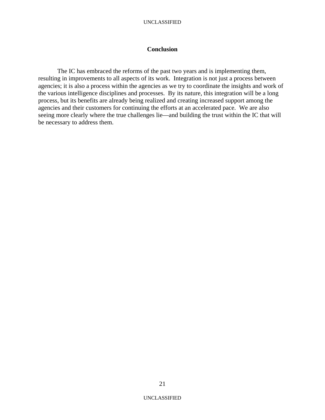## **Conclusion**

The IC has embraced the reforms of the past two years and is implementing them, resulting in improvements to all aspects of its work. Integration is not just a process between agencies; it is also a process within the agencies as we try to coordinate the insights and work of the various intelligence disciplines and processes. By its nature, this integration will be a long process, but its benefits are already being realized and creating increased support among the agencies and their customers for continuing the efforts at an accelerated pace. We are also seeing more clearly where the true challenges lie—and building the trust within the IC that will be necessary to address them.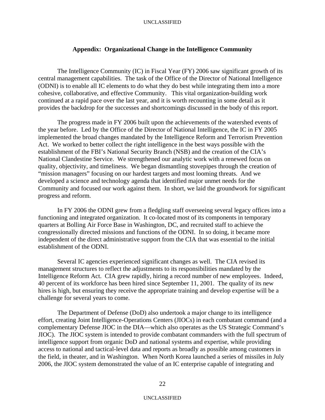## **Appendix: Organizational Change in the Intelligence Community**

The Intelligence Community (IC) in Fiscal Year (FY) 2006 saw significant growth of its central management capabilities. The task of the Office of the Director of National Intelligence (ODNI) is to enable all IC elements to do what they do best while integrating them into a more cohesive, collaborative, and effective Community. This vital organization-building work continued at a rapid pace over the last year, and it is worth recounting in some detail as it provides the backdrop for the successes and shortcomings discussed in the body of this report.

The progress made in FY 2006 built upon the achievements of the watershed events of the year before. Led by the Office of the Director of National Intelligence, the IC in FY 2005 implemented the broad changes mandated by the Intelligence Reform and Terrorism Prevention Act. We worked to better collect the right intelligence in the best ways possible with the establishment of the FBI's National Security Branch (NSB) and the creation of the CIA's National Clandestine Service. We strengthened our analytic work with a renewed focus on quality, objectivity, and timeliness. We began dismantling stovepipes through the creation of "mission managers" focusing on our hardest targets and most looming threats. And we developed a science and technology agenda that identified major unmet needs for the Community and focused our work against them. In short, we laid the groundwork for significant progress and reform.

In FY 2006 the ODNI grew from a fledgling staff overseeing several legacy offices into a functioning and integrated organization. It co-located most of its components in temporary quarters at Bolling Air Force Base in Washington, DC, and recruited staff to achieve the congressionally directed missions and functions of the ODNI. In so doing, it became more independent of the direct administrative support from the CIA that was essential to the initial establishment of the ODNI.

 Several IC agencies experienced significant changes as well. The CIA revised its management structures to reflect the adjustments to its responsibilities mandated by the Intelligence Reform Act. CIA grew rapidly, hiring a record number of new employees. Indeed, 40 percent of its workforce has been hired since September 11, 2001. The quality of its new hires is high, but ensuring they receive the appropriate training and develop expertise will be a challenge for several years to come.

 The Department of Defense (DoD) also undertook a major change to its intelligence effort, creating Joint Intelligence-Operations Centers (JIOCs) in each combatant command (and a complementary Defense JIOC in the DIA—which also operates as the US Strategic Command's JIOC). The JIOC system is intended to provide combatant commanders with the full spectrum of intelligence support from organic DoD and national systems and expertise, while providing access to national and tactical-level data and reports as broadly as possible among customers in the field, in theater, and in Washington. When North Korea launched a series of missiles in July 2006, the JIOC system demonstrated the value of an IC enterprise capable of integrating and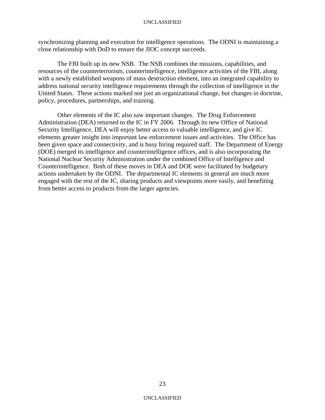synchronizing planning and execution for intelligence operations. The ODNI is maintaining a close relationship with DoD to ensure the JIOC concept succeeds.

 The FBI built up its new NSB. The NSB combines the missions, capabilities, and resources of the counterterrorism, counterintelligence, intelligence activities of the FBI, along with a newly established weapons of mass destruction element, into an integrated capability to address national security intelligence requirements through the collection of intelligence in the United States. These actions marked not just an organizational change, but changes in doctrine, policy, procedures, partnerships, and training.

Other elements of the IC also saw important changes. The Drug Enforcement Administration (DEA) returned to the IC in FY 2006. Through its new Office of National Security Intelligence, DEA will enjoy better access to valuable intelligence, and give IC elements greater insight into important law enforcement issues and activities. The Office has been given space and connectivity, and is busy hiring required staff. The Department of Energy (DOE) merged its intelligence and counterintelligence offices, and is also incorporating the National Nuclear Security Administration under the combined Office of Intelligence and Counterintelligence. Both of these moves in DEA and DOE were facilitated by budgetary actions undertaken by the ODNI. The departmental IC elements in general are much more engaged with the rest of the IC, sharing products and viewpoints more easily, and benefiting from better access to products from the larger agencies.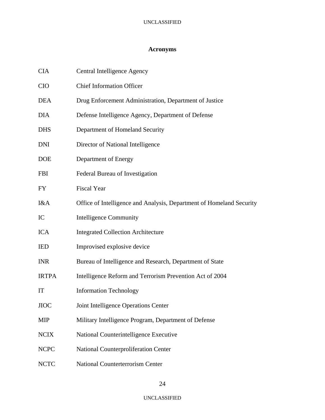# **Acronyms**

| <b>CIA</b>   | Central Intelligence Agency                                          |
|--------------|----------------------------------------------------------------------|
| <b>CIO</b>   | <b>Chief Information Officer</b>                                     |
| <b>DEA</b>   | Drug Enforcement Administration, Department of Justice               |
| <b>DIA</b>   | Defense Intelligence Agency, Department of Defense                   |
| <b>DHS</b>   | Department of Homeland Security                                      |
| <b>DNI</b>   | Director of National Intelligence                                    |
| <b>DOE</b>   | Department of Energy                                                 |
| <b>FBI</b>   | Federal Bureau of Investigation                                      |
| <b>FY</b>    | <b>Fiscal Year</b>                                                   |
| I&A          | Office of Intelligence and Analysis, Department of Homeland Security |
| IC           | <b>Intelligence Community</b>                                        |
| <b>ICA</b>   | <b>Integrated Collection Architecture</b>                            |
| <b>IED</b>   | Improvised explosive device                                          |
| <b>INR</b>   | Bureau of Intelligence and Research, Department of State             |
| <b>IRTPA</b> | Intelligence Reform and Terrorism Prevention Act of 2004             |
| IT           | <b>Information Technology</b>                                        |
| <b>JIOC</b>  | Joint Intelligence Operations Center                                 |
| <b>MIP</b>   | Military Intelligence Program, Department of Defense                 |
| <b>NCIX</b>  | National Counterintelligence Executive                               |
| <b>NCPC</b>  | <b>National Counterproliferation Center</b>                          |
| <b>NCTC</b>  | National Counterterrorism Center                                     |